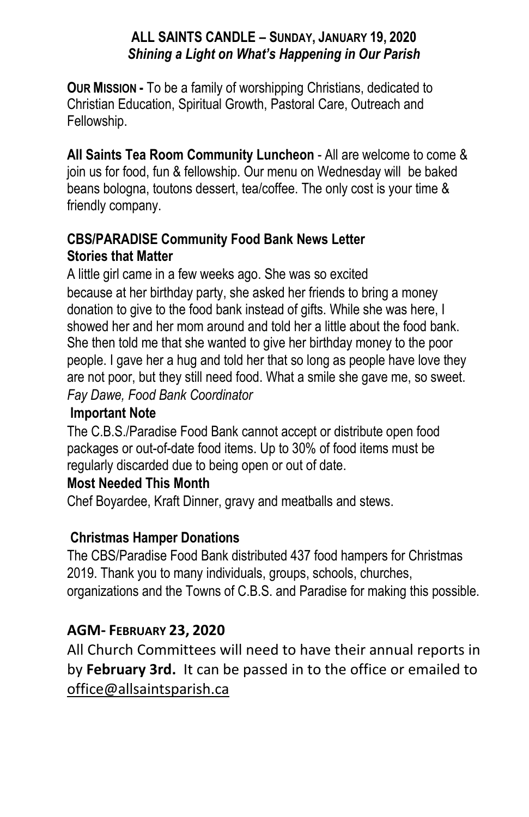#### **ALL SAINTS CANDLE – SUNDAY, JANUARY 19, 2020** *Shining a Light on What's Happening in Our Parish*

**OUR MISSION -** To be a family of worshipping Christians, dedicated to Christian Education, Spiritual Growth, Pastoral Care, Outreach and Fellowship.

**All Saints Tea Room Community Luncheon** - All are welcome to come & join us for food, fun & fellowship. Our menu on Wednesday will be baked beans bologna, toutons dessert, tea/coffee. The only cost is your time & friendly company.

#### **CBS/PARADISE Community Food Bank News Letter Stories that Matter**

A little girl came in a few weeks ago. She was so excited because at her birthday party, she asked her friends to bring a money donation to give to the food bank instead of gifts. While she was here, I showed her and her mom around and told her a little about the food bank. She then told me that she wanted to give her birthday money to the poor people. I gave her a hug and told her that so long as people have love they are not poor, but they still need food. What a smile she gave me, so sweet. *Fay Dawe, Food Bank Coordinator*

#### **Important Note**

The C.B.S./Paradise Food Bank cannot accept or distribute open food packages or out-of-date food items. Up to 30% of food items must be regularly discarded due to being open or out of date.

#### **Most Needed This Month**

Chef Boyardee, Kraft Dinner, gravy and meatballs and stews.

#### **Christmas Hamper Donations**

The CBS/Paradise Food Bank distributed 437 food hampers for Christmas 2019. Thank you to many individuals, groups, schools, churches, organizations and the Towns of C.B.S. and Paradise for making this possible.

#### **AGM- FEBRUARY 23, 2020**

All Church Committees will need to have their annual reports in by **February 3rd.** It can be passed in to the office or emailed to office@allsaintsparish.ca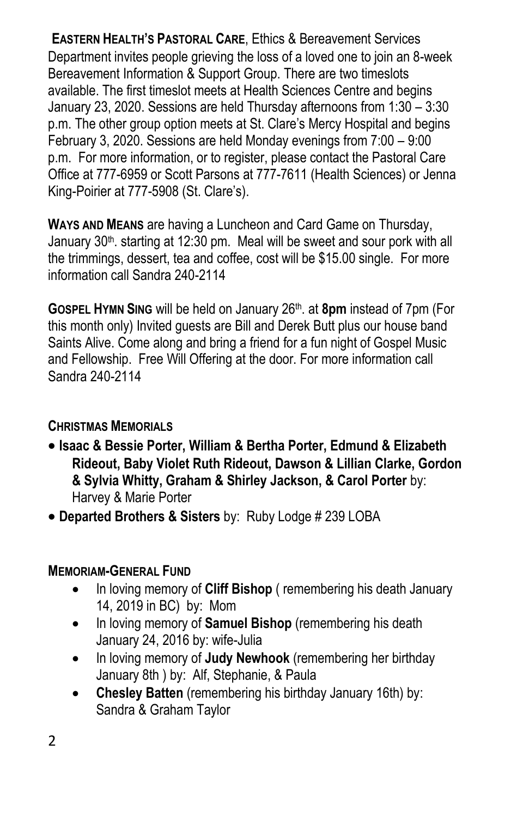**EASTERN HEALTH'S PASTORAL CARE**, Ethics & Bereavement Services Department invites people grieving the loss of a loved one to join an 8-week Bereavement Information & Support Group. There are two timeslots available. The first timeslot meets at Health Sciences Centre and begins January 23, 2020. Sessions are held Thursday afternoons from 1:30 – 3:30 p.m. The other group option meets at St. Clare's Mercy Hospital and begins February 3, 2020. Sessions are held Monday evenings from 7:00 – 9:00 p.m. For more information, or to register, please contact the Pastoral Care Office at 777-6959 or Scott Parsons at 777-7611 (Health Sciences) or Jenna King-Poirier at 777-5908 (St. Clare's).

**WAYS AND MEANS** are having a Luncheon and Card Game on Thursday, January 30<sup>th</sup>, starting at 12:30 pm. Meal will be sweet and sour pork with all the trimmings, dessert, tea and coffee, cost will be \$15.00 single. For more information call Sandra 240-2114

**GOSPEL HYMN SING** will be held on January 26th. at **8pm** instead of 7pm (For this month only) Invited guests are Bill and Derek Butt plus our house band Saints Alive. Come along and bring a friend for a fun night of Gospel Music and Fellowship. Free Will Offering at the door. For more information call Sandra 240-2114

#### **CHRISTMAS MEMORIALS**

- **Isaac & Bessie Porter, William & Bertha Porter, Edmund & Elizabeth Rideout, Baby Violet Ruth Rideout, Dawson & Lillian Clarke, Gordon & Sylvia Whitty, Graham & Shirley Jackson, & Carol Porter** by: Harvey & Marie Porter
- **Departed Brothers & Sisters** by: Ruby Lodge # 239 LOBA

#### **MEMORIAM-GENERAL FUND**

- In loving memory of **Cliff Bishop** ( remembering his death January 14, 2019 in BC) by: Mom
- In loving memory of **Samuel Bishop** (remembering his death January 24, 2016 by: wife-Julia
- In loving memory of **Judy Newhook** (remembering her birthday January 8th ) by: Alf, Stephanie, & Paula
- **Chesley Batten** (remembering his birthday January 16th) by: Sandra & Graham Taylor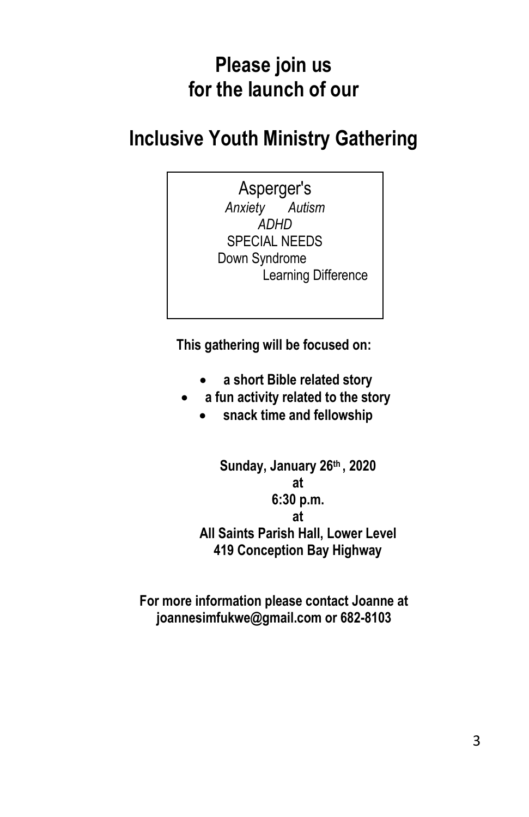## **Please join us for the launch of our**

# **Inclusive Youth Ministry Gathering**

Asperger's *Anxiety Autism ADHD* SPECIAL NEEDS Down Syndrome Learning Difference

**This gathering will be focused on:**

- **a short Bible related story**
- **a fun activity related to the story**
	- **snack time and fellowship**

**Sunday, January 26th , 2020 at 6:30 p.m. at All Saints Parish Hall, Lower Level 419 Conception Bay Highway**

**For more information please contact Joanne at joannesimfukwe@gmail.com or 682-8103**